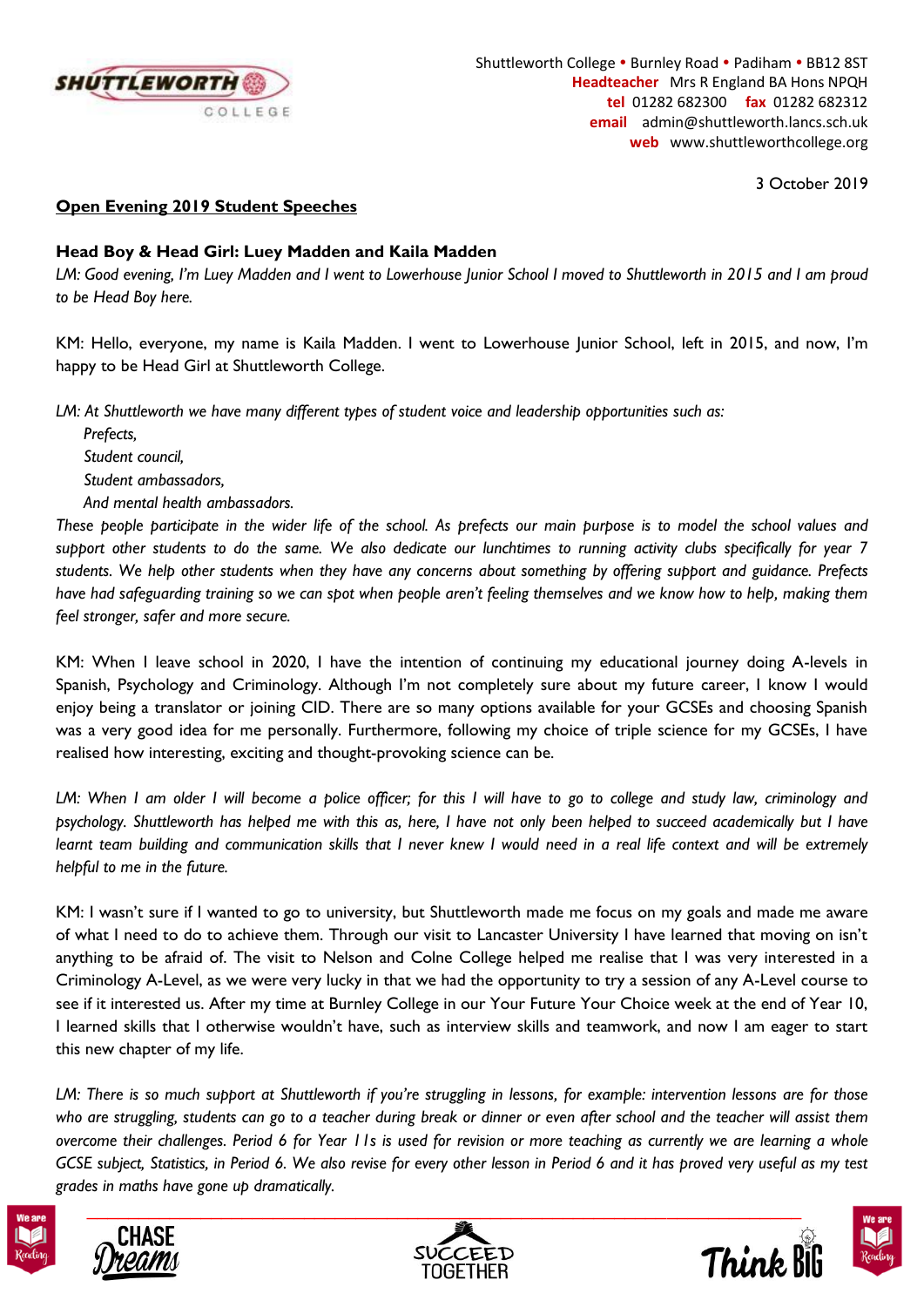

3 October 2019

## **Open Evening 2019 Student Speeches**

## **Head Boy & Head Girl: Luey Madden and Kaila Madden**

*LM: Good evening, I'm Luey Madden and I went to Lowerhouse Junior School I moved to Shuttleworth in 2015 and I am proud to be Head Boy here.*

KM: Hello, everyone, my name is Kaila Madden. I went to Lowerhouse Junior School, left in 2015, and now, I'm happy to be Head Girl at Shuttleworth College.

*LM: At Shuttleworth we have many different types of student voice and leadership opportunities such as:*

*Prefects, Student council, Student ambassadors, And mental health ambassadors.*

*These people participate in the wider life of the school. As prefects our main purpose is to model the school values and support other students to do the same. We also dedicate our lunchtimes to running activity clubs specifically for year 7 students. We help other students when they have any concerns about something by offering support and guidance. Prefects have had safeguarding training so we can spot when people aren't feeling themselves and we know how to help, making them feel stronger, safer and more secure.*

KM: When I leave school in 2020, I have the intention of continuing my educational journey doing A-levels in Spanish, Psychology and Criminology. Although I'm not completely sure about my future career, I know I would enjoy being a translator or joining CID. There are so many options available for your GCSEs and choosing Spanish was a very good idea for me personally. Furthermore, following my choice of triple science for my GCSEs, I have realised how interesting, exciting and thought-provoking science can be.

*LM: When I am older I will become a police officer; for this I will have to go to college and study law, criminology and psychology. Shuttleworth has helped me with this as, here, I have not only been helped to succeed academically but I have learnt team building and communication skills that I never knew I would need in a real life context and will be extremely helpful to me in the future.*

KM: I wasn't sure if I wanted to go to university, but Shuttleworth made me focus on my goals and made me aware of what I need to do to achieve them. Through our visit to Lancaster University I have learned that moving on isn't anything to be afraid of. The visit to Nelson and Colne College helped me realise that I was very interested in a Criminology A-Level, as we were very lucky in that we had the opportunity to try a session of any A-Level course to see if it interested us. After my time at Burnley College in our Your Future Your Choice week at the end of Year 10, I learned skills that I otherwise wouldn't have, such as interview skills and teamwork, and now I am eager to start this new chapter of my life.

*LM: There is so much support at Shuttleworth if you're struggling in lessons, for example: intervention lessons are for those who are struggling, students can go to a teacher during break or dinner or even after school and the teacher will assist them overcome their challenges. Period 6 for Year 11s is used for revision or more teaching as currently we are learning a whole GCSE subject, Statistics, in Period 6. We also revise for every other lesson in Period 6 and it has proved very useful as my test grades in maths have gone up dramatically.*









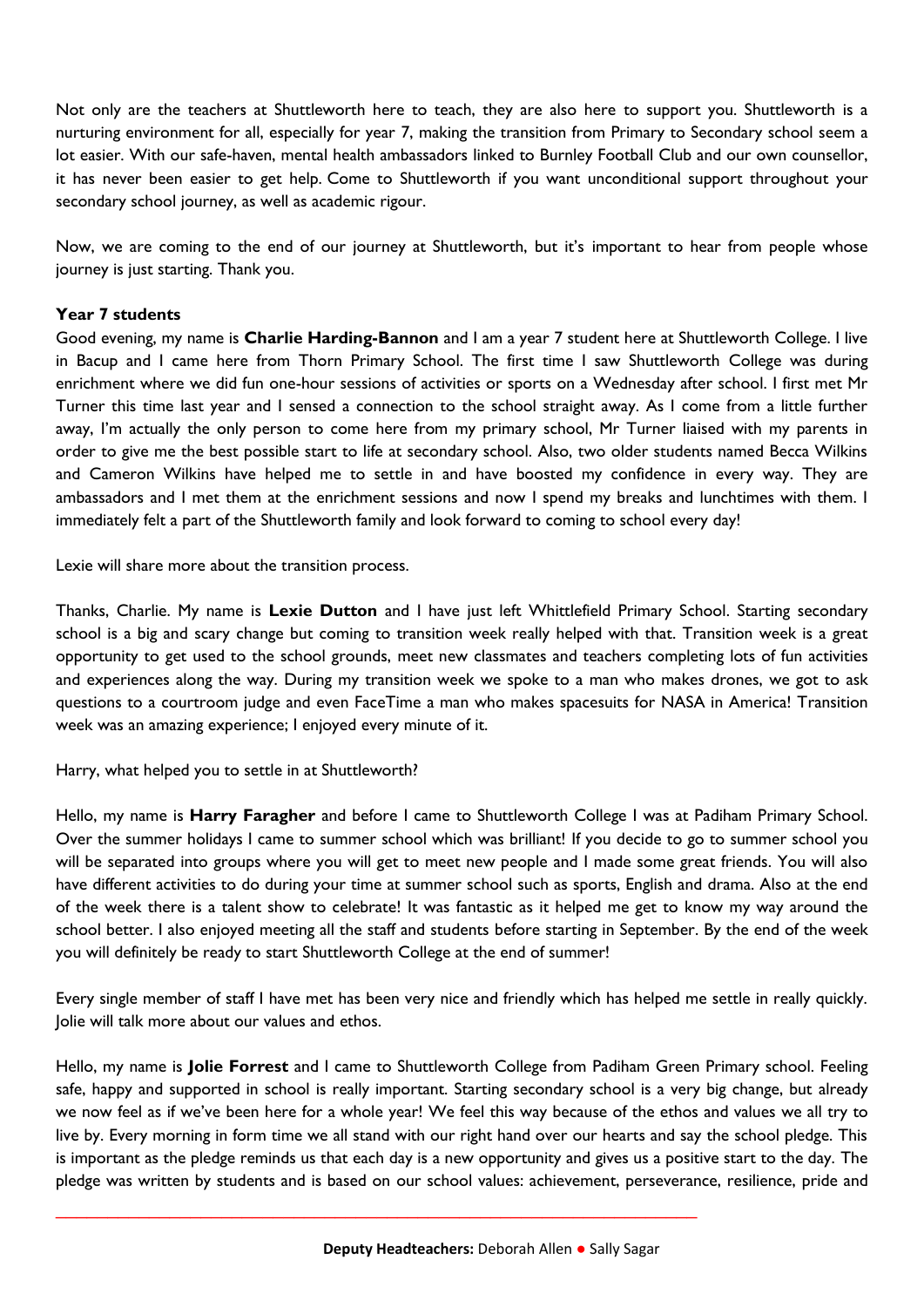Not only are the teachers at Shuttleworth here to teach, they are also here to support you. Shuttleworth is a nurturing environment for all, especially for year 7, making the transition from Primary to Secondary school seem a lot easier. With our safe-haven, mental health ambassadors linked to Burnley Football Club and our own counsellor, it has never been easier to get help. Come to Shuttleworth if you want unconditional support throughout your secondary school journey, as well as academic rigour.

Now, we are coming to the end of our journey at Shuttleworth, but it's important to hear from people whose journey is just starting. Thank you.

## **Year 7 students**

Good evening, my name is **Charlie Harding-Bannon** and I am a year 7 student here at Shuttleworth College. I live in Bacup and I came here from Thorn Primary School. The first time I saw Shuttleworth College was during enrichment where we did fun one-hour sessions of activities or sports on a Wednesday after school. I first met Mr Turner this time last year and I sensed a connection to the school straight away. As I come from a little further away, I'm actually the only person to come here from my primary school, Mr Turner liaised with my parents in order to give me the best possible start to life at secondary school. Also, two older students named Becca Wilkins and Cameron Wilkins have helped me to settle in and have boosted my confidence in every way. They are ambassadors and I met them at the enrichment sessions and now I spend my breaks and lunchtimes with them. I immediately felt a part of the Shuttleworth family and look forward to coming to school every day!

Lexie will share more about the transition process.

Thanks, Charlie. My name is **Lexie Dutton** and I have just left Whittlefield Primary School. Starting secondary school is a big and scary change but coming to transition week really helped with that. Transition week is a great opportunity to get used to the school grounds, meet new classmates and teachers completing lots of fun activities and experiences along the way. During my transition week we spoke to a man who makes drones, we got to ask questions to a courtroom judge and even FaceTime a man who makes spacesuits for NASA in America! Transition week was an amazing experience; I enjoyed every minute of it.

Harry, what helped you to settle in at Shuttleworth?

Hello, my name is **Harry Faragher** and before I came to Shuttleworth College I was at Padiham Primary School. Over the summer holidays I came to summer school which was brilliant! If you decide to go to summer school you will be separated into groups where you will get to meet new people and I made some great friends. You will also have different activities to do during your time at summer school such as sports, English and drama. Also at the end of the week there is a talent show to celebrate! It was fantastic as it helped me get to know my way around the school better. I also enjoyed meeting all the staff and students before starting in September. By the end of the week you will definitely be ready to start Shuttleworth College at the end of summer!

Every single member of staff I have met has been very nice and friendly which has helped me settle in really quickly. Jolie will talk more about our values and ethos.

Hello, my name is **Jolie Forrest** and I came to Shuttleworth College from Padiham Green Primary school. Feeling safe, happy and supported in school is really important. Starting secondary school is a very big change, but already we now feel as if we've been here for a whole year! We feel this way because of the ethos and values we all try to live by. Every morning in form time we all stand with our right hand over our hearts and say the school pledge. This is important as the pledge reminds us that each day is a new opportunity and gives us a positive start to the day. The pledge was written by students and is based on our school values: achievement, perseverance, resilience, pride and

\_\_\_\_\_\_\_\_\_\_\_\_\_\_\_\_\_\_\_\_\_\_\_\_\_\_\_\_\_\_\_\_\_\_\_\_\_\_\_\_\_\_\_\_\_\_\_\_\_\_\_\_\_\_\_\_\_\_\_\_\_\_